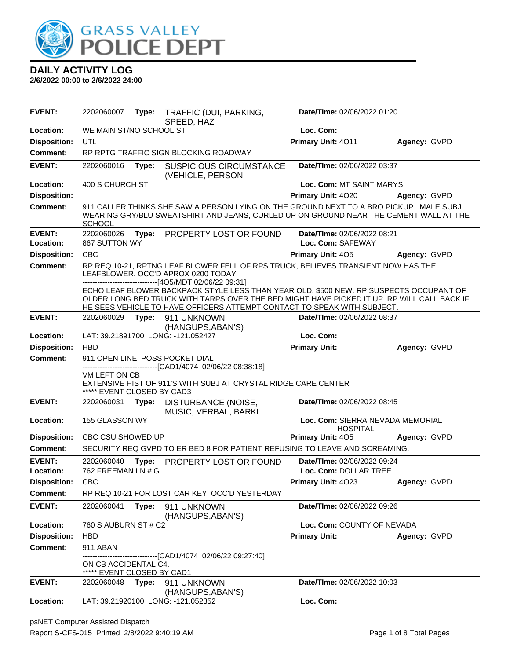

| <b>EVENT:</b>                    | 2202060007                                         | Type: | TRAFFIC (DUI, PARKING,<br>SPEED, HAZ                                                                                                                                                                                                                            | Date/TIme: 02/06/2022 01:20                         |              |
|----------------------------------|----------------------------------------------------|-------|-----------------------------------------------------------------------------------------------------------------------------------------------------------------------------------------------------------------------------------------------------------------|-----------------------------------------------------|--------------|
| Location:                        | WE MAIN ST/NO SCHOOL ST                            |       |                                                                                                                                                                                                                                                                 | Loc. Com:                                           |              |
| <b>Disposition:</b>              | UTL                                                |       |                                                                                                                                                                                                                                                                 | Primary Unit: 4011                                  | Agency: GVPD |
| <b>Comment:</b>                  |                                                    |       | RP RPTG TRAFFIC SIGN BLOCKING ROADWAY                                                                                                                                                                                                                           |                                                     |              |
| <b>EVENT:</b>                    | 2202060016                                         | Type: | <b>SUSPICIOUS CIRCUMSTANCE</b><br>(VEHICLE, PERSON                                                                                                                                                                                                              | Date/TIme: 02/06/2022 03:37                         |              |
| Location:                        | 400 S CHURCH ST                                    |       |                                                                                                                                                                                                                                                                 | Loc. Com: MT SAINT MARYS                            |              |
| <b>Disposition:</b>              |                                                    |       |                                                                                                                                                                                                                                                                 | Primary Unit: 4020                                  | Agency: GVPD |
| <b>Comment:</b>                  | <b>SCHOOL</b>                                      |       | 911 CALLER THINKS SHE SAW A PERSON LYING ON THE GROUND NEXT TO A BRO PICKUP. MALE SUBJ<br>WEARING GRY/BLU SWEATSHIRT AND JEANS, CURLED UP ON GROUND NEAR THE CEMENT WALL AT THE                                                                                 |                                                     |              |
| <b>EVENT:</b><br>Location:       | 2202060026<br>867 SUTTON WY                        | Type: | PROPERTY LOST OR FOUND                                                                                                                                                                                                                                          | Date/TIme: 02/06/2022 08:21<br>Loc. Com: SAFEWAY    |              |
| <b>Disposition:</b>              | <b>CBC</b>                                         |       |                                                                                                                                                                                                                                                                 | <b>Primary Unit: 405</b>                            | Agency: GVPD |
| <b>Comment:</b>                  |                                                    |       | RP REQ 10-21, RPTNG LEAF BLOWER FELL OF RPS TRUCK, BELIEVES TRANSIENT NOW HAS THE<br>LEAFBLOWER. OCC'D APROX 0200 TODAY<br>------------------------------[4O5/MDT 02/06/22 09:31]                                                                               |                                                     |              |
|                                  |                                                    |       | ECHO LEAF BLOWER BACKPACK STYLE LESS THAN YEAR OLD, \$500 NEW. RP SUSPECTS OCCUPANT OF<br>OLDER LONG BED TRUCK WITH TARPS OVER THE BED MIGHT HAVE PICKED IT UP. RP WILL CALL BACK IF<br>HE SEES VEHICLE TO HAVE OFFICERS ATTEMPT CONTACT TO SPEAK WITH SUBJECT. |                                                     |              |
| <b>EVENT:</b>                    | 2202060029                                         | Type: | 911 UNKNOWN                                                                                                                                                                                                                                                     | Date/TIme: 02/06/2022 08:37                         |              |
|                                  |                                                    |       | (HANGUPS, ABAN'S)<br>LAT: 39.21891700 LONG: -121.052427                                                                                                                                                                                                         | Loc. Com:                                           |              |
| Location:<br><b>Disposition:</b> | <b>HBD</b>                                         |       |                                                                                                                                                                                                                                                                 | <b>Primary Unit:</b>                                | Agency: GVPD |
| <b>Comment:</b>                  |                                                    |       | 911 OPEN LINE, POSS POCKET DIAL                                                                                                                                                                                                                                 |                                                     |              |
|                                  |                                                    |       | ----------------------[CAD1/4074_02/06/22_08:38:18]                                                                                                                                                                                                             |                                                     |              |
|                                  | VM LEFT ON CB<br>***** EVENT CLOSED BY CAD3        |       | EXTENSIVE HIST OF 911'S WITH SUBJ AT CRYSTAL RIDGE CARE CENTER                                                                                                                                                                                                  |                                                     |              |
| <b>EVENT:</b>                    | 2202060031                                         | Type: | DISTURBANCE (NOISE,<br>MUSIC, VERBAL, BARKI                                                                                                                                                                                                                     | Date/TIme: 02/06/2022 08:45                         |              |
| Location:                        | 155 GLASSON WY                                     |       |                                                                                                                                                                                                                                                                 | Loc. Com: SIERRA NEVADA MEMORIAL<br><b>HOSPITAL</b> |              |
| <b>Disposition:</b>              | CBC CSU SHOWED UP                                  |       |                                                                                                                                                                                                                                                                 | Primary Unit: 405                                   | Agency: GVPD |
| <b>Comment:</b>                  |                                                    |       | SECURITY REQ GVPD TO ER BED 8 FOR PATIENT REFUSING TO LEAVE AND SCREAMING.                                                                                                                                                                                      |                                                     |              |
| <b>EVENT:</b>                    | 2202060040                                         |       | Type: PROPERTY LOST OR FOUND                                                                                                                                                                                                                                    | Date/TIme: 02/06/2022 09:24                         |              |
| Location:                        | 762 FREEMAN LN # G                                 |       |                                                                                                                                                                                                                                                                 | Loc. Com: DOLLAR TREE                               |              |
| <b>Disposition:</b>              | <b>CBC</b>                                         |       |                                                                                                                                                                                                                                                                 | Primary Unit: 4023                                  | Agency: GVPD |
| <b>Comment:</b>                  |                                                    |       | RP REQ 10-21 FOR LOST CAR KEY, OCC'D YESTERDAY                                                                                                                                                                                                                  |                                                     |              |
| <b>EVENT:</b>                    | 2202060041                                         | Type: | 911 UNKNOWN<br>(HANGUPS, ABAN'S)                                                                                                                                                                                                                                | Date/TIme: 02/06/2022 09:26                         |              |
| Location:                        | 760 S AUBURN ST # C2                               |       |                                                                                                                                                                                                                                                                 | Loc. Com: COUNTY OF NEVADA                          |              |
| <b>Disposition:</b>              | <b>HBD</b>                                         |       |                                                                                                                                                                                                                                                                 | <b>Primary Unit:</b>                                | Agency: GVPD |
| <b>Comment:</b>                  | 911 ABAN                                           |       |                                                                                                                                                                                                                                                                 |                                                     |              |
|                                  | ON CB ACCIDENTAL C4.<br>***** EVENT CLOSED BY CAD1 |       | -------------------------------[CAD1/4074 02/06/22 09:27:40]                                                                                                                                                                                                    |                                                     |              |
| <b>EVENT:</b>                    | 2202060048                                         | Type: | 911 UNKNOWN                                                                                                                                                                                                                                                     | Date/TIme: 02/06/2022 10:03                         |              |
| Location:                        |                                                    |       | (HANGUPS, ABAN'S)<br>LAT: 39.21920100 LONG: -121.052352                                                                                                                                                                                                         | Loc. Com:                                           |              |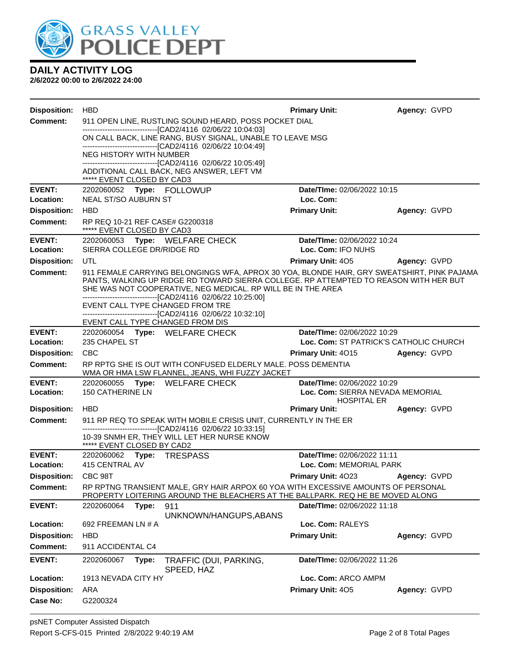

| <b>Disposition:</b>                    | <b>HBD</b>                                                                                                                                                                          | <b>Primary Unit:</b>                                   | Agency: GVPD |  |  |  |
|----------------------------------------|-------------------------------------------------------------------------------------------------------------------------------------------------------------------------------------|--------------------------------------------------------|--------------|--|--|--|
| <b>Comment:</b>                        | 911 OPEN LINE, RUSTLING SOUND HEARD, POSS POCKET DIAL                                                                                                                               |                                                        |              |  |  |  |
|                                        | --------------------------------[CAD2/4116 02/06/22 10:04:03]<br>ON CALL BACK, LINE RANG, BUSY SIGNAL, UNABLE TO LEAVE MSG                                                          |                                                        |              |  |  |  |
|                                        | --------------------------------[CAD2/4116 02/06/22 10:04:49]                                                                                                                       |                                                        |              |  |  |  |
|                                        | NEG HISTORY WITH NUMBER<br>--------------------------------[CAD2/4116 02/06/22 10:05:49]                                                                                            |                                                        |              |  |  |  |
|                                        | ADDITIONAL CALL BACK, NEG ANSWER, LEFT VM<br>***** EVENT CLOSED BY CAD3                                                                                                             |                                                        |              |  |  |  |
| <b>EVENT:</b>                          | 2202060052 Type: FOLLOWUP                                                                                                                                                           | Date/TIme: 02/06/2022 10:15                            |              |  |  |  |
| Location:                              | <b>NEAL ST/SO AUBURN ST</b>                                                                                                                                                         | Loc. Com:                                              |              |  |  |  |
| <b>Disposition:</b>                    | <b>HBD</b>                                                                                                                                                                          | <b>Primary Unit:</b>                                   | Agency: GVPD |  |  |  |
| <b>Comment:</b>                        | RP REQ 10-21 REF CASE# G2200318<br>***** EVENT CLOSED BY CAD3                                                                                                                       |                                                        |              |  |  |  |
| <b>EVENT:</b>                          | 2202060053 Type: WELFARE CHECK                                                                                                                                                      | Date/TIme: 02/06/2022 10:24                            |              |  |  |  |
| Location:                              | SIERRA COLLEGE DR/RIDGE RD                                                                                                                                                          | Loc. Com: IFO NUHS                                     |              |  |  |  |
| <b>Disposition:</b><br><b>Comment:</b> | UTL                                                                                                                                                                                 | <b>Primary Unit: 405</b>                               | Agency: GVPD |  |  |  |
|                                        | 911 FEMALE CARRYING BELONGINGS WFA, APROX 30 YOA, BLONDE HAIR, GRY SWEATSHIRT, PINK PAJAMA<br>PANTS, WALKING UP RIDGE RD TOWARD SIERRA COLLEGE. RP ATTEMPTED TO REASON WITH HER BUT |                                                        |              |  |  |  |
|                                        | SHE WAS NOT COOPERATIVE, NEG MEDICAL. RP WILL BE IN THE AREA                                                                                                                        |                                                        |              |  |  |  |
|                                        | --------------------------------[CAD2/4116 02/06/22 10:25:00]<br>EVENT CALL TYPE CHANGED FROM TRE                                                                                   |                                                        |              |  |  |  |
|                                        | -------------------------------[CAD2/4116 02/06/22 10:32:10]                                                                                                                        |                                                        |              |  |  |  |
| <b>EVENT:</b>                          | EVENT CALL TYPE CHANGED FROM DIS<br>2202060054 Type: WELFARE CHECK                                                                                                                  | Date/TIme: 02/06/2022 10:29                            |              |  |  |  |
| Location:                              | 235 CHAPEL ST<br>Loc. Com: ST PATRICK'S CATHOLIC CHURCH                                                                                                                             |                                                        |              |  |  |  |
| <b>Disposition:</b>                    | <b>CBC</b>                                                                                                                                                                          | <b>Primary Unit: 4015</b>                              | Agency: GVPD |  |  |  |
| <b>Comment:</b>                        | RP RPTG SHE IS OUT WITH CONFUSED ELDERLY MALE. POSS DEMENTIA<br>WMA OR HMA LSW FLANNEL, JEANS, WHI FUZZY JACKET                                                                     |                                                        |              |  |  |  |
| <b>EVENT:</b>                          | 2202060055<br>Type: WELFARE CHECK                                                                                                                                                   | Date/TIme: 02/06/2022 10:29                            |              |  |  |  |
| Location:                              | <b>150 CATHERINE LN</b>                                                                                                                                                             | Loc. Com: SIERRA NEVADA MEMORIAL<br><b>HOSPITAL ER</b> |              |  |  |  |
| <b>Disposition:</b>                    | <b>HBD</b>                                                                                                                                                                          | <b>Primary Unit:</b>                                   | Agency: GVPD |  |  |  |
| <b>Comment:</b>                        | 911 RP REQ TO SPEAK WITH MOBILE CRISIS UNIT, CURRENTLY IN THE ER                                                                                                                    |                                                        |              |  |  |  |
|                                        | --------------------------------[CAD2/4116 02/06/22 10:33:15]<br>10-39 SNMH ER, THEY WILL LET HER NURSE KNOW                                                                        |                                                        |              |  |  |  |
|                                        | ***** EVENT CLOSED BY CAD2                                                                                                                                                          |                                                        |              |  |  |  |
| <b>EVENT:</b>                          | 2202060062 Type: TRESPASS                                                                                                                                                           | Date/Time: 02/06/2022 11:11                            |              |  |  |  |
| Location:                              | 415 CENTRAL AV                                                                                                                                                                      | Loc. Com: MEMORIAL PARK                                |              |  |  |  |
| <b>Disposition:</b>                    | CBC 98T                                                                                                                                                                             | Primary Unit: 4023                                     | Agency: GVPD |  |  |  |
| <b>Comment:</b>                        | RP RPTNG TRANSIENT MALE, GRY HAIR ARPOX 60 YOA WITH EXCESSIVE AMOUNTS OF PERSONAL<br>PROPERTY LOITERING AROUND THE BLEACHERS AT THE BALLPARK. REQ HE BE MOVED ALONG                 |                                                        |              |  |  |  |
| <b>EVENT:</b>                          | 2202060064<br>Type:<br>911                                                                                                                                                          | Date/TIme: 02/06/2022 11:18                            |              |  |  |  |
| Location:                              | UNKNOWN/HANGUPS, ABANS<br>692 FREEMAN LN # A                                                                                                                                        | Loc. Com: RALEYS                                       |              |  |  |  |
| <b>Disposition:</b>                    | <b>HBD</b>                                                                                                                                                                          | <b>Primary Unit:</b>                                   | Agency: GVPD |  |  |  |
| <b>Comment:</b>                        | 911 ACCIDENTAL C4                                                                                                                                                                   |                                                        |              |  |  |  |
| <b>EVENT:</b>                          | 2202060067<br>TRAFFIC (DUI, PARKING,<br>Type:                                                                                                                                       | Date/TIme: 02/06/2022 11:26                            |              |  |  |  |
|                                        | SPEED, HAZ                                                                                                                                                                          |                                                        |              |  |  |  |
| Location:                              | 1913 NEVADA CITY HY                                                                                                                                                                 | Loc. Com: ARCO AMPM                                    |              |  |  |  |
| <b>Disposition:</b>                    | <b>ARA</b>                                                                                                                                                                          | Primary Unit: 405                                      | Agency: GVPD |  |  |  |
| Case No:                               | G2200324                                                                                                                                                                            |                                                        |              |  |  |  |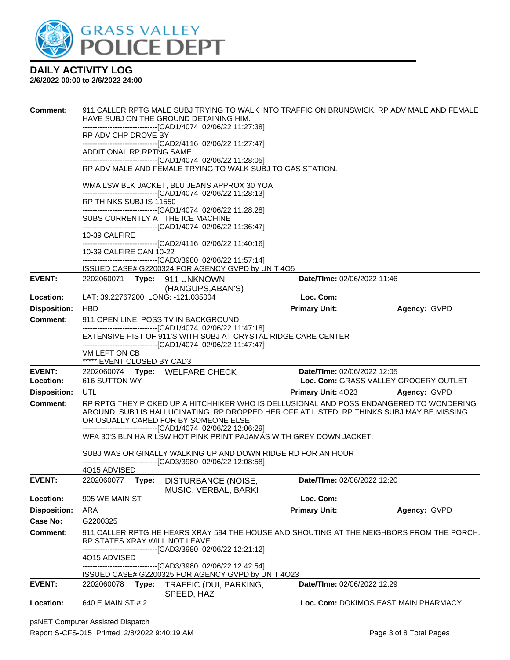

#### **2/6/2022 00:00 to 2/6/2022 24:00**

| <b>Comment:</b>                  |                                             | 911 CALLER RPTG MALE SUBJ TRYING TO WALK INTO TRAFFIC ON BRUNSWICK. RP ADV MALE AND FEMALE<br>HAVE SUBJ ON THE GROUND DETAINING HIM.                            |                                        |                                       |
|----------------------------------|---------------------------------------------|-----------------------------------------------------------------------------------------------------------------------------------------------------------------|----------------------------------------|---------------------------------------|
|                                  | RP ADV CHP DROVE BY                         | --------------------------------[CAD1/4074_02/06/22 11:27:38]                                                                                                   |                                        |                                       |
|                                  |                                             | -------------------------------[CAD2/4116 02/06/22 11:27:47]                                                                                                    |                                        |                                       |
|                                  | ADDITIONAL RP RPTNG SAME                    | ------------------------------[CAD1/4074 02/06/22 11:28:05]                                                                                                     |                                        |                                       |
|                                  |                                             | RP ADV MALE AND FEMALE TRYING TO WALK SUBJ TO GAS STATION.                                                                                                      |                                        |                                       |
|                                  |                                             | WMA LSW BLK JACKET, BLU JEANS APPROX 30 YOA<br>-------------------------------[CAD1/4074_02/06/22 11:28:13]                                                     |                                        |                                       |
|                                  | RP THINKS SUBJ IS 11550                     |                                                                                                                                                                 |                                        |                                       |
|                                  |                                             | ------------------------------[CAD1/4074 02/06/22 11:28:28]<br>SUBS CURRENTLY AT THE ICE MACHINE<br>------------------------------[CAD1/4074_02/06/22 11:36:47] |                                        |                                       |
|                                  | 10-39 CALFIRE                               |                                                                                                                                                                 |                                        |                                       |
|                                  | 10-39 CALFIRE CAN 10-22                     | -------------------------------[CAD2/4116 02/06/22 11:40:16]                                                                                                    |                                        |                                       |
|                                  |                                             | -------------------------------[CAD3/3980_02/06/22 11:57:14]                                                                                                    |                                        |                                       |
| <b>EVENT:</b>                    |                                             | ISSUED CASE# G2200324 FOR AGENCY GVPD by UNIT 4O5<br>2202060071 Type: 911 UNKNOWN                                                                               | Date/TIme: 02/06/2022 11:46            |                                       |
|                                  |                                             | (HANGUPS, ABAN'S)                                                                                                                                               |                                        |                                       |
| Location:                        | LAT: 39.22767200 LONG: -121.035004          |                                                                                                                                                                 | Loc. Com:                              |                                       |
| <b>Disposition:</b>              | <b>HBD</b>                                  |                                                                                                                                                                 | <b>Primary Unit:</b>                   | Agency: GVPD                          |
| <b>Comment:</b>                  |                                             | 911 OPEN LINE, POSS TV IN BACKGROUND<br>-------------------------------[CAD1/4074_02/06/22 11:47:18]                                                            |                                        |                                       |
|                                  |                                             | EXTENSIVE HIST OF 911'S WITH SUBJ AT CRYSTAL RIDGE CARE CENTER<br>-------------------------------[CAD1/4074 02/06/22 11:47:47]                                  |                                        |                                       |
|                                  | VM LEFT ON CB<br>***** EVENT CLOSED BY CAD3 |                                                                                                                                                                 |                                        |                                       |
| <b>EVENT:</b>                    |                                             | 2202060074 Type: WELFARE CHECK                                                                                                                                  | Date/TIme: 02/06/2022 12:05            |                                       |
| Location:<br><b>Disposition:</b> | 616 SUTTON WY<br>UTL                        |                                                                                                                                                                 | <b>Primary Unit: 4023 Agency: GVPD</b> | Loc. Com: GRASS VALLEY GROCERY OUTLET |
| <b>Comment:</b>                  |                                             | RP RPTG THEY PICKED UP A HITCHHIKER WHO IS DELLUSIONAL AND POSS ENDANGERED TO WONDERING                                                                         |                                        |                                       |
|                                  |                                             | AROUND. SUBJ IS HALLUCINATING. RP DROPPED HER OFF AT LISTED. RP THINKS SUBJ MAY BE MISSING<br>OR USUALLY CARED FOR BY SOMEONE ELSE                              |                                        |                                       |
|                                  |                                             | -------------------------------[CAD1/4074_02/06/22 12:06:29]<br>WFA 30'S BLN HAIR LSW HOT PINK PRINT PAJAMAS WITH GREY DOWN JACKET.                             |                                        |                                       |
|                                  |                                             | SUBJ WAS ORIGINALLY WALKING UP AND DOWN RIDGE RD FOR AN HOUR                                                                                                    |                                        |                                       |
|                                  |                                             | ------------------------[CAD3/3980_02/06/22_12:08:58]                                                                                                           |                                        |                                       |
| <b>EVENT:</b>                    | 4O15 ADVISED<br>2202060077<br>Type:         | DISTURBANCE (NOISE,                                                                                                                                             | Date/TIme: 02/06/2022 12:20            |                                       |
|                                  |                                             | MUSIC, VERBAL, BARKI                                                                                                                                            |                                        |                                       |
| Location:                        | 905 WE MAIN ST                              |                                                                                                                                                                 | Loc. Com:                              |                                       |
| <b>Disposition:</b>              | ARA                                         |                                                                                                                                                                 | <b>Primary Unit:</b>                   | Agency: GVPD                          |
| <b>Case No:</b>                  | G2200325                                    |                                                                                                                                                                 |                                        |                                       |
| Comment:                         | RP STATES XRAY WILL NOT LEAVE.              | 911 CALLER RPTG HE HEARS XRAY 594 THE HOUSE AND SHOUTING AT THE NEIGHBORS FROM THE PORCH.<br>------------------------[CAD3/3980  02/06/22 12:21:12]             |                                        |                                       |
|                                  | 4015 ADVISED                                |                                                                                                                                                                 |                                        |                                       |
|                                  |                                             | -------------------------------[CAD3/3980_02/06/22 12:42:54]<br>ISSUED CASE# G2200325 FOR AGENCY GVPD by UNIT 4O23                                              |                                        |                                       |
| <b>EVENT:</b>                    | 2202060078<br>Type:                         | TRAFFIC (DUI, PARKING,<br>SPEED, HAZ                                                                                                                            | Date/TIme: 02/06/2022 12:29            |                                       |
| Location:                        | 640 E MAIN ST # 2                           |                                                                                                                                                                 |                                        | Loc. Com: DOKIMOS EAST MAIN PHARMACY  |

psNET Computer Assisted Dispatch Report S-CFS-015 Printed 2/8/2022 9:40:19 AM Page 3 of 8 Total Pages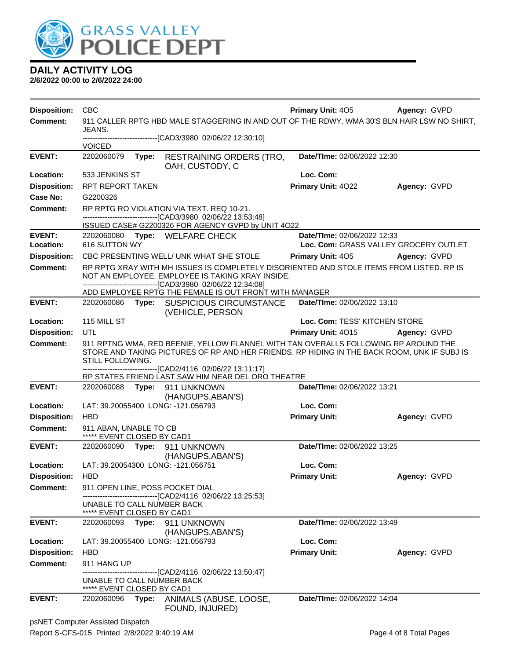

**2/6/2022 00:00 to 2/6/2022 24:00**

| <b>Disposition:</b> | <b>CBC</b>                                               |       |                                                                                                                                                                                                                                               | <b>Primary Unit: 405</b>                                                                    | Agency: GVPD                          |  |
|---------------------|----------------------------------------------------------|-------|-----------------------------------------------------------------------------------------------------------------------------------------------------------------------------------------------------------------------------------------------|---------------------------------------------------------------------------------------------|---------------------------------------|--|
| <b>Comment:</b>     |                                                          |       |                                                                                                                                                                                                                                               | 911 CALLER RPTG HBD MALE STAGGERING IN AND OUT OF THE RDWY. WMA 30'S BLN HAIR LSW NO SHIRT, |                                       |  |
|                     | JEANS.                                                   |       | -------------------------------[CAD3/3980_02/06/22 12:30:10]                                                                                                                                                                                  |                                                                                             |                                       |  |
|                     | <b>VOICED</b>                                            |       |                                                                                                                                                                                                                                               |                                                                                             |                                       |  |
| <b>EVENT:</b>       | 2202060079                                               | Type: | <b>RESTRAINING ORDERS (TRO,</b><br>OAH, CUSTODY, C                                                                                                                                                                                            | Date/TIme: 02/06/2022 12:30                                                                 |                                       |  |
| Location:           | 533 JENKINS ST                                           |       |                                                                                                                                                                                                                                               | Loc. Com:                                                                                   |                                       |  |
| <b>Disposition:</b> | <b>RPT REPORT TAKEN</b>                                  |       |                                                                                                                                                                                                                                               | Primary Unit: 4022                                                                          | Agency: GVPD                          |  |
| <b>Case No:</b>     | G2200326                                                 |       |                                                                                                                                                                                                                                               |                                                                                             |                                       |  |
| Comment:            |                                                          |       | RP RPTG RO VIOLATION VIA TEXT. REQ 10-21.<br>--------------------------------[CAD3/3980 02/06/22 13:53:48]                                                                                                                                    |                                                                                             |                                       |  |
|                     |                                                          |       | ISSUED CASE# G2200326 FOR AGENCY GVPD by UNIT 4O22                                                                                                                                                                                            |                                                                                             |                                       |  |
| <b>EVENT:</b>       |                                                          |       | 2202060080 Type: WELFARE CHECK                                                                                                                                                                                                                | Date/TIme: 02/06/2022 12:33                                                                 |                                       |  |
| Location:           | 616 SUTTON WY                                            |       |                                                                                                                                                                                                                                               |                                                                                             | Loc. Com: GRASS VALLEY GROCERY OUTLET |  |
| <b>Disposition:</b> |                                                          |       | CBC PRESENTING WELL/ UNK WHAT SHE STOLE                                                                                                                                                                                                       | <b>Primary Unit: 405</b>                                                                    | Agency: GVPD                          |  |
| Comment:            |                                                          |       | RP RPTG XRAY WITH MH ISSUES IS COMPLETELY DISORIENTED AND STOLE ITEMS FROM LISTED. RP IS<br>NOT AN EMPLOYEE. EMPLOYEE IS TAKING XRAY INSIDE.<br>-------------------------------[CAD3/3980 02/06/22 12:34:08]                                  |                                                                                             |                                       |  |
|                     |                                                          |       | ADD EMPLOYEE RPTG THE FEMALE IS OUT FRONT WITH MANAGER                                                                                                                                                                                        |                                                                                             |                                       |  |
| <b>EVENT:</b>       | 2202060086                                               |       | Type: SUSPICIOUS CIRCUMSTANCE<br>(VEHICLE, PERSON                                                                                                                                                                                             | Date/TIme: 02/06/2022 13:10                                                                 |                                       |  |
| Location:           | 115 MILL ST                                              |       |                                                                                                                                                                                                                                               | Loc. Com: TESS' KITCHEN STORE                                                               |                                       |  |
| <b>Disposition:</b> | UTL                                                      |       |                                                                                                                                                                                                                                               | <b>Primary Unit: 4015</b>                                                                   | Agency: GVPD                          |  |
| <b>Comment:</b>     | STILL FOLLOWING.                                         |       | 911 RPTNG WMA, RED BEENIE, YELLOW FLANNEL WITH TAN OVERALLS FOLLOWING RP AROUND THE<br>STORE AND TAKING PICTURES OF RP AND HER FRIENDS. RP HIDING IN THE BACK ROOM, UNK IF SUBJ IS<br>--------------------------[CAD2/4116 02/06/22 13:11:17] |                                                                                             |                                       |  |
|                     |                                                          |       | RP STATES FRIEND LAST SAW HIM NEAR DEL ORO THEATRE                                                                                                                                                                                            |                                                                                             |                                       |  |
| <b>EVENT:</b>       | 2202060088                                               | Type: | 911 UNKNOWN                                                                                                                                                                                                                                   | Date/TIme: 02/06/2022 13:21                                                                 |                                       |  |
| Location:           |                                                          |       | (HANGUPS, ABAN'S)<br>LAT: 39.20055400 LONG: -121.056793                                                                                                                                                                                       | Loc. Com:                                                                                   |                                       |  |
| <b>Disposition:</b> | <b>HBD</b>                                               |       |                                                                                                                                                                                                                                               | <b>Primary Unit:</b>                                                                        | Agency: GVPD                          |  |
| <b>Comment:</b>     | 911 ABAN, UNABLE TO CB<br>***** EVENT CLOSED BY CAD1     |       |                                                                                                                                                                                                                                               |                                                                                             |                                       |  |
| <b>EVENT:</b>       | 2202060090                                               |       | Type: 911 UNKNOWN<br>(HANGUPS, ABAN'S)                                                                                                                                                                                                        | Date/TIme: 02/06/2022 13:25                                                                 |                                       |  |
| Location:           |                                                          |       | LAT: 39.20054300 LONG: -121.056751                                                                                                                                                                                                            | Loc. Com:                                                                                   |                                       |  |
| Disposition: HBD    |                                                          |       |                                                                                                                                                                                                                                               | <b>Primary Unit:</b>                                                                        | Agency: GVPD                          |  |
| <b>Comment:</b>     |                                                          |       | 911 OPEN LINE, POSS POCKET DIAL<br>-------------------------------[CAD2/4116_02/06/22_13:25:53]                                                                                                                                               |                                                                                             |                                       |  |
|                     | UNABLE TO CALL NUMBER BACK<br>***** EVENT CLOSED BY CAD1 |       |                                                                                                                                                                                                                                               |                                                                                             |                                       |  |
| <b>EVENT:</b>       |                                                          |       | 2202060093 Type: 911 UNKNOWN<br>(HANGUPS, ABAN'S)                                                                                                                                                                                             | Date/TIme: 02/06/2022 13:49                                                                 |                                       |  |
| Location:           |                                                          |       | LAT: 39.20055400 LONG: -121.056793                                                                                                                                                                                                            | Loc. Com:                                                                                   |                                       |  |
| <b>Disposition:</b> | <b>HBD</b>                                               |       |                                                                                                                                                                                                                                               | <b>Primary Unit:</b>                                                                        | Agency: GVPD                          |  |
| <b>Comment:</b>     | 911 HANG UP                                              |       |                                                                                                                                                                                                                                               |                                                                                             |                                       |  |
|                     | UNABLE TO CALL NUMBER BACK<br>***** EVENT CLOSED BY CAD1 |       | -------------------------------[CAD2/4116_02/06/22 13:50:47]                                                                                                                                                                                  |                                                                                             |                                       |  |
| <b>EVENT:</b>       | 2202060096                                               |       | Type: ANIMALS (ABUSE, LOOSE,<br>FOUND, INJURED)                                                                                                                                                                                               | Date/TIme: 02/06/2022 14:04                                                                 |                                       |  |

psNET Computer Assisted Dispatch Report S-CFS-015 Printed 2/8/2022 9:40:19 AM Page 4 of 8 Total Pages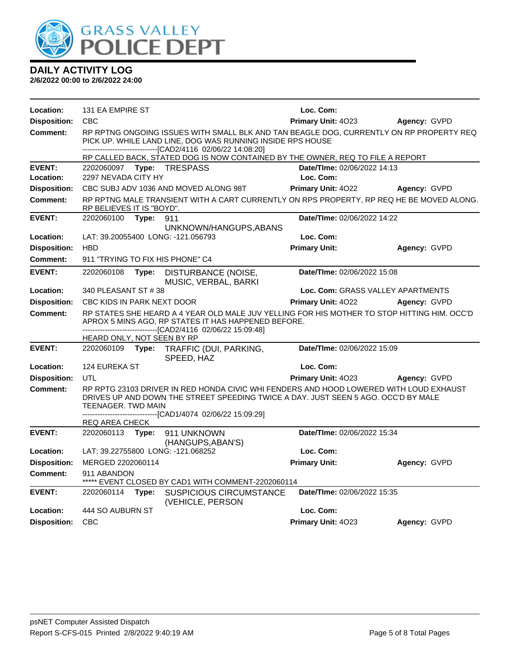

| Location:           | 131 EA EMPIRE ST                                                  |       |                                                                                                                                                                                                                                              | Loc. Com:                         |              |  |
|---------------------|-------------------------------------------------------------------|-------|----------------------------------------------------------------------------------------------------------------------------------------------------------------------------------------------------------------------------------------------|-----------------------------------|--------------|--|
| <b>Disposition:</b> | <b>CBC</b>                                                        |       |                                                                                                                                                                                                                                              | Primary Unit: 4023                | Agency: GVPD |  |
| <b>Comment:</b>     |                                                                   |       | RP RPTNG ONGOING ISSUES WITH SMALL BLK AND TAN BEAGLE DOG, CURRENTLY ON RP PROPERTY REQ<br>PICK UP. WHILE LAND LINE, DOG WAS RUNNING INSIDE RPS HOUSE<br>----------------------------------[CAD2/4116 02/06/22 14:08:20]                     |                                   |              |  |
|                     |                                                                   |       | RP CALLED BACK, STATED DOG IS NOW CONTAINED BY THE OWNER, REQ TO FILE A REPORT                                                                                                                                                               |                                   |              |  |
| <b>EVENT:</b>       |                                                                   |       |                                                                                                                                                                                                                                              | Date/TIme: 02/06/2022 14:13       |              |  |
| Location:           | 2297 NEVADA CITY HY                                               |       |                                                                                                                                                                                                                                              | Loc. Com:                         |              |  |
| <b>Disposition:</b> |                                                                   |       | CBC SUBJ ADV 1036 AND MOVED ALONG 98T                                                                                                                                                                                                        | Primary Unit: 4022                | Agency: GVPD |  |
| <b>Comment:</b>     | RP BELIEVES IT IS "BOYD".                                         |       | RP RPTNG MALE TRANSIENT WITH A CART CURRENTLY ON RPS PROPERTY, RP REQ HE BE MOVED ALONG.                                                                                                                                                     |                                   |              |  |
| <b>EVENT:</b>       | 2202060100                                                        | Type: | 911<br>UNKNOWN/HANGUPS, ABANS                                                                                                                                                                                                                | Date/TIme: 02/06/2022 14:22       |              |  |
| Location:           |                                                                   |       | LAT: 39.20055400 LONG: -121.056793                                                                                                                                                                                                           | Loc. Com:                         |              |  |
| <b>Disposition:</b> | <b>HBD</b>                                                        |       |                                                                                                                                                                                                                                              | <b>Primary Unit:</b>              | Agency: GVPD |  |
| Comment:            |                                                                   |       | 911 "TRYING TO FIX HIS PHONE" C4                                                                                                                                                                                                             |                                   |              |  |
| <b>EVENT:</b>       | 2202060108                                                        | Type: | <b>DISTURBANCE (NOISE,</b><br>MUSIC, VERBAL, BARKI                                                                                                                                                                                           | Date/TIme: 02/06/2022 15:08       |              |  |
| Location:           | 340 PLEASANT ST #38                                               |       |                                                                                                                                                                                                                                              | Loc. Com: GRASS VALLEY APARTMENTS |              |  |
| <b>Disposition:</b> | CBC KIDS IN PARK NEXT DOOR                                        |       |                                                                                                                                                                                                                                              | Primary Unit: 4022                | Agency: GVPD |  |
| <b>Comment:</b>     |                                                                   |       | RP STATES SHE HEARD A 4 YEAR OLD MALE JUV YELLING FOR HIS MOTHER TO STOP HITTING HIM. OCC'D<br>APROX 5 MINS AGO, RP STATES IT HAS HAPPENED BEFORE.<br>---------------------------------[CAD2/4116_02/06/22_15:09:48]                         |                                   |              |  |
|                     | HEARD ONLY, NOT SEEN BY RP                                        |       |                                                                                                                                                                                                                                              |                                   |              |  |
| <b>EVENT:</b>       | 2202060109                                                        | Type: | TRAFFIC (DUI, PARKING,<br>SPEED, HAZ                                                                                                                                                                                                         | Date/TIme: 02/06/2022 15:09       |              |  |
| Location:           | 124 EUREKA ST                                                     |       |                                                                                                                                                                                                                                              | Loc. Com:                         |              |  |
| <b>Disposition:</b> | <b>UTL</b>                                                        |       |                                                                                                                                                                                                                                              | Primary Unit: 4023                | Agency: GVPD |  |
| <b>Comment:</b>     | TEENAGER. TWD MAIN<br>REQ AREA CHECK                              |       | RP RPTG 23103 DRIVER IN RED HONDA CIVIC WHI FENDERS AND HOOD LOWERED WITH LOUD EXHAUST<br>DRIVES UP AND DOWN THE STREET SPEEDING TWICE A DAY. JUST SEEN 5 AGO. OCC'D BY MALE<br>-------------------------------[CAD1/4074 02/06/22 15:09:29] |                                   |              |  |
| <b>EVENT:</b>       | 2202060113 Type:                                                  |       | 911 UNKNOWN<br>(HANGUPS, ABAN'S)                                                                                                                                                                                                             | Date/TIme: 02/06/2022 15:34       |              |  |
| Location:           |                                                                   |       | LAT: 39.22755800 LONG: -121.068252                                                                                                                                                                                                           | Loc. Com:                         |              |  |
| <b>Disposition:</b> | MERGED 2202060114                                                 |       |                                                                                                                                                                                                                                              | <b>Primary Unit:</b>              | Agency: GVPD |  |
| Comment:            | 911 ABANDON<br>***** EVENT CLOSED BY CAD1 WITH COMMENT-2202060114 |       |                                                                                                                                                                                                                                              |                                   |              |  |
| <b>EVENT:</b>       | 2202060114 Type:                                                  |       | <b>SUSPICIOUS CIRCUMSTANCE</b><br>(VEHICLE, PERSON                                                                                                                                                                                           | Date/TIme: 02/06/2022 15:35       |              |  |
| Location:           | 444 SO AUBURN ST                                                  |       |                                                                                                                                                                                                                                              | Loc. Com:                         |              |  |
| <b>Disposition:</b> | <b>CBC</b>                                                        |       |                                                                                                                                                                                                                                              | Primary Unit: 4023                | Agency: GVPD |  |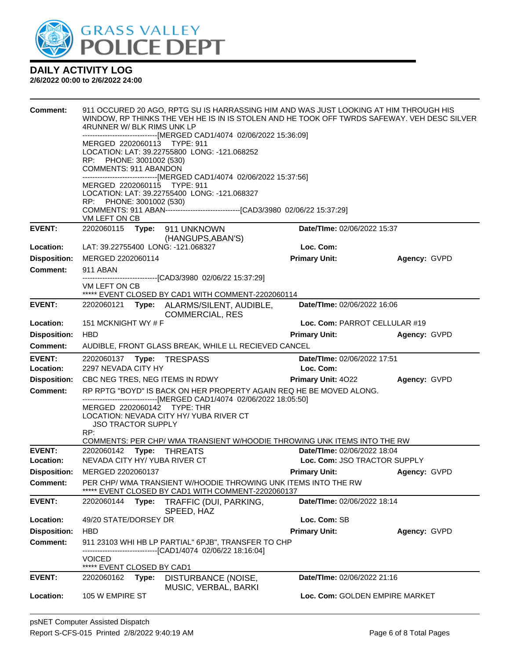

| <b>Comment:</b>            | 911 OCCURED 20 AGO, RPTG SU IS HARRASSING HIM AND WAS JUST LOOKING AT HIM THROUGH HIS<br>WINDOW, RP THINKS THE VEH HE IS IN IS STOLEN AND HE TOOK OFF TWRDS SAFEWAY. VEH DESC SILVER<br>4RUNNER W/ BLK RIMS UNK LP<br>------------------------------[MERGED CAD1/4074 02/06/2022 15:36:09]<br>MERGED 2202060113 TYPE: 911 |                                                                                                                |                                                             |              |  |  |
|----------------------------|---------------------------------------------------------------------------------------------------------------------------------------------------------------------------------------------------------------------------------------------------------------------------------------------------------------------------|----------------------------------------------------------------------------------------------------------------|-------------------------------------------------------------|--------------|--|--|
|                            | RP: PHONE: 3001002 (530)<br>COMMENTS: 911 ABANDON                                                                                                                                                                                                                                                                         | LOCATION: LAT: 39.22755800 LONG: -121.068252                                                                   |                                                             |              |  |  |
|                            | ------------------------------[MERGED CAD1/4074 02/06/2022 15:37:56]<br>MERGED 2202060115 TYPE: 911<br>LOCATION: LAT: 39.22755400 LONG: -121.068327<br>RP: PHONE: 3001002 (530)                                                                                                                                           |                                                                                                                |                                                             |              |  |  |
|                            | VM LEFT ON CB                                                                                                                                                                                                                                                                                                             |                                                                                                                |                                                             |              |  |  |
| <b>EVENT:</b>              |                                                                                                                                                                                                                                                                                                                           | (HANGUPS, ABAN'S)                                                                                              | Date/TIme: 02/06/2022 15:37                                 |              |  |  |
| Location:                  | LAT: 39.22755400 LONG: -121.068327                                                                                                                                                                                                                                                                                        |                                                                                                                | Loc. Com:                                                   |              |  |  |
| <b>Disposition:</b>        | MERGED 2202060114                                                                                                                                                                                                                                                                                                         |                                                                                                                | <b>Primary Unit:</b>                                        | Agency: GVPD |  |  |
| <b>Comment:</b>            | 911 ABAN                                                                                                                                                                                                                                                                                                                  | --------------------------[CAD3/3980_02/06/22_15:37:29]                                                        |                                                             |              |  |  |
|                            | VM LEFT ON CB                                                                                                                                                                                                                                                                                                             | ***** EVENT CLOSED BY CAD1 WITH COMMENT-2202060114                                                             |                                                             |              |  |  |
| <b>EVENT:</b>              |                                                                                                                                                                                                                                                                                                                           | 2202060121 Type: ALARMS/SILENT, AUDIBLE,                                                                       | Date/TIme: 02/06/2022 16:06                                 |              |  |  |
| Location:                  | <b>COMMERCIAL, RES</b><br>151 MCKNIGHT WY # F<br>Loc. Com: PARROT CELLULAR #19                                                                                                                                                                                                                                            |                                                                                                                |                                                             |              |  |  |
| <b>Disposition:</b>        | <b>HBD</b>                                                                                                                                                                                                                                                                                                                |                                                                                                                | <b>Primary Unit:</b>                                        | Agency: GVPD |  |  |
| <b>Comment:</b>            |                                                                                                                                                                                                                                                                                                                           | AUDIBLE, FRONT GLASS BREAK, WHILE LL RECIEVED CANCEL                                                           |                                                             |              |  |  |
|                            |                                                                                                                                                                                                                                                                                                                           |                                                                                                                |                                                             |              |  |  |
| <b>EVENT:</b><br>Location: | 2202060137 Type: TRESPASS<br>2297 NEVADA CITY HY                                                                                                                                                                                                                                                                          |                                                                                                                | Date/TIme: 02/06/2022 17:51<br>Loc. Com:                    |              |  |  |
| <b>Disposition:</b>        | CBC NEG TRES, NEG ITEMS IN RDWY                                                                                                                                                                                                                                                                                           |                                                                                                                | <b>Primary Unit: 4022</b>                                   | Agency: GVPD |  |  |
| <b>Comment:</b>            |                                                                                                                                                                                                                                                                                                                           | RP RPTG "BOYD" IS BACK ON HER PROPERTY AGAIN REQ HE BE MOVED ALONG.                                            |                                                             |              |  |  |
|                            | MERGED 2202060142 TYPE: THR<br><b>JSO TRACTOR SUPPLY</b>                                                                                                                                                                                                                                                                  | ------------------------------[MERGED CAD1/4074_02/06/2022 18:05:50]<br>LOCATION: NEVADA CITY HY/YUBA RIVER CT |                                                             |              |  |  |
|                            | RP:                                                                                                                                                                                                                                                                                                                       | COMMENTS: PER CHP/ WMA TRANSIENT W/HOODIE THROWING UNK ITEMS INTO THE RW                                       |                                                             |              |  |  |
| <b>EVENT:</b><br>Location: | 2202060142 Type: THREATS<br>NEVADA CITY HY/YUBA RIVER CT                                                                                                                                                                                                                                                                  |                                                                                                                | Date/TIme: 02/06/2022 18:04<br>Loc. Com: JSO TRACTOR SUPPLY |              |  |  |
| <b>Disposition:</b>        | MERGED 2202060137                                                                                                                                                                                                                                                                                                         |                                                                                                                | <b>Primary Unit:</b>                                        | Agency: GVPD |  |  |
| <b>Comment:</b>            |                                                                                                                                                                                                                                                                                                                           | PER CHP/ WMA TRANSIENT W/HOODIE THROWING UNK ITEMS INTO THE RW<br>EVENT CLOSED BY CAD1 WITH COMMENT-2202060137 |                                                             |              |  |  |
| <b>EVENT:</b>              | 2202060144<br>Type:                                                                                                                                                                                                                                                                                                       | TRAFFIC (DUI, PARKING,<br>SPEED, HAZ                                                                           | Date/TIme: 02/06/2022 18:14                                 |              |  |  |
| Location:                  | 49/20 STATE/DORSEY DR                                                                                                                                                                                                                                                                                                     |                                                                                                                | Loc. Com: SB                                                |              |  |  |
| <b>Disposition:</b>        | <b>HBD</b>                                                                                                                                                                                                                                                                                                                |                                                                                                                | <b>Primary Unit:</b>                                        | Agency: GVPD |  |  |
| <b>Comment:</b>            |                                                                                                                                                                                                                                                                                                                           | 911 23103 WHI HB LP PARTIAL" 6PJB", TRANSFER TO CHP<br>----------------------[CAD1/4074_02/06/22 18:16:04]     |                                                             |              |  |  |
|                            | <b>VOICED</b><br>***** EVENT CLOSED BY CAD1                                                                                                                                                                                                                                                                               |                                                                                                                |                                                             |              |  |  |
| <b>EVENT:</b>              | 2202060162<br>Type:                                                                                                                                                                                                                                                                                                       | DISTURBANCE (NOISE,                                                                                            | Date/TIme: 02/06/2022 21:16                                 |              |  |  |
| Location:                  | 105 W EMPIRE ST                                                                                                                                                                                                                                                                                                           | MUSIC, VERBAL, BARKI                                                                                           | Loc. Com: GOLDEN EMPIRE MARKET                              |              |  |  |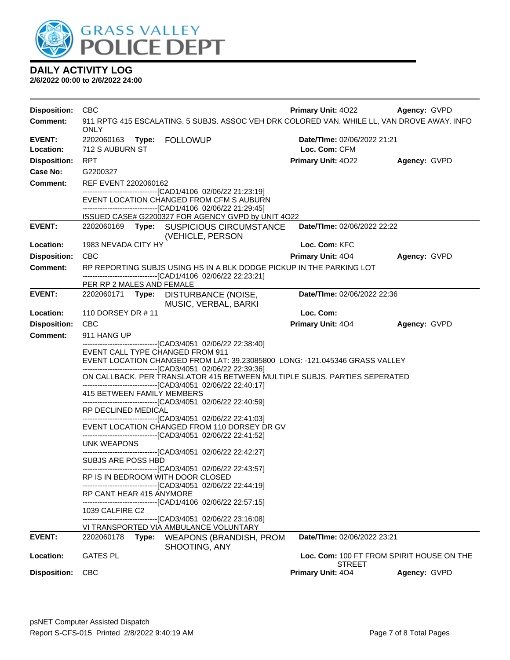

| <b>Disposition:</b>        | <b>CBC</b>                                                                                                     |                                                                                                                                                                                                                                                                                                                                                                                                                                                                                                                                                                                                                                                                                                                                                                                                                                                                                                                                                                                                                                                                                              | <b>Primary Unit: 4022</b>                           | Agency: GVPD |
|----------------------------|----------------------------------------------------------------------------------------------------------------|----------------------------------------------------------------------------------------------------------------------------------------------------------------------------------------------------------------------------------------------------------------------------------------------------------------------------------------------------------------------------------------------------------------------------------------------------------------------------------------------------------------------------------------------------------------------------------------------------------------------------------------------------------------------------------------------------------------------------------------------------------------------------------------------------------------------------------------------------------------------------------------------------------------------------------------------------------------------------------------------------------------------------------------------------------------------------------------------|-----------------------------------------------------|--------------|
| <b>Comment:</b>            | <b>ONLY</b>                                                                                                    | 911 RPTG 415 ESCALATING. 5 SUBJS. ASSOC VEH DRK COLORED VAN. WHILE LL, VAN DROVE AWAY. INFO                                                                                                                                                                                                                                                                                                                                                                                                                                                                                                                                                                                                                                                                                                                                                                                                                                                                                                                                                                                                  |                                                     |              |
| <b>EVENT:</b><br>Location: | 712 S AUBURN ST                                                                                                |                                                                                                                                                                                                                                                                                                                                                                                                                                                                                                                                                                                                                                                                                                                                                                                                                                                                                                                                                                                                                                                                                              | Date/TIme: 02/06/2022 21:21<br>Loc. Com: CFM        |              |
| <b>Disposition:</b>        | <b>RPT</b>                                                                                                     |                                                                                                                                                                                                                                                                                                                                                                                                                                                                                                                                                                                                                                                                                                                                                                                                                                                                                                                                                                                                                                                                                              | Primary Unit: 4022                                  | Agency: GVPD |
| Case No:                   | G2200327                                                                                                       |                                                                                                                                                                                                                                                                                                                                                                                                                                                                                                                                                                                                                                                                                                                                                                                                                                                                                                                                                                                                                                                                                              |                                                     |              |
| <b>Comment:</b>            | REF EVENT 2202060162                                                                                           |                                                                                                                                                                                                                                                                                                                                                                                                                                                                                                                                                                                                                                                                                                                                                                                                                                                                                                                                                                                                                                                                                              |                                                     |              |
|                            |                                                                                                                | -------------------------------[CAD1/4106 02/06/22 21:23:19]<br>EVENT LOCATION CHANGED FROM CFM S AUBURN<br>------------------------------[CAD1/4106 02/06/22 21:29:45]                                                                                                                                                                                                                                                                                                                                                                                                                                                                                                                                                                                                                                                                                                                                                                                                                                                                                                                      |                                                     |              |
|                            |                                                                                                                | ISSUED CASE# G2200327 FOR AGENCY GVPD by UNIT 4O22                                                                                                                                                                                                                                                                                                                                                                                                                                                                                                                                                                                                                                                                                                                                                                                                                                                                                                                                                                                                                                           |                                                     |              |
| <b>EVENT:</b>              |                                                                                                                | 2202060169 Type: SUSPICIOUS CIRCUMSTANCE<br>(VEHICLE, PERSON                                                                                                                                                                                                                                                                                                                                                                                                                                                                                                                                                                                                                                                                                                                                                                                                                                                                                                                                                                                                                                 | Date/TIme: 02/06/2022 22:22                         |              |
| Location:                  | 1983 NEVADA CITY HY                                                                                            |                                                                                                                                                                                                                                                                                                                                                                                                                                                                                                                                                                                                                                                                                                                                                                                                                                                                                                                                                                                                                                                                                              | Loc. Com: KFC                                       |              |
| <b>Disposition:</b>        | <b>CBC</b>                                                                                                     |                                                                                                                                                                                                                                                                                                                                                                                                                                                                                                                                                                                                                                                                                                                                                                                                                                                                                                                                                                                                                                                                                              | Primary Unit: 404                                   | Agency: GVPD |
| <b>Comment:</b>            |                                                                                                                | RP REPORTING SUBJS USING HS IN A BLK DODGE PICKUP IN THE PARKING LOT<br>------------------------[CAD1/4106 02/06/22 22:23:21]                                                                                                                                                                                                                                                                                                                                                                                                                                                                                                                                                                                                                                                                                                                                                                                                                                                                                                                                                                |                                                     |              |
|                            | PER RP 2 MALES AND FEMALE                                                                                      |                                                                                                                                                                                                                                                                                                                                                                                                                                                                                                                                                                                                                                                                                                                                                                                                                                                                                                                                                                                                                                                                                              |                                                     |              |
| <b>EVENT:</b>              |                                                                                                                | 2202060171 Type: DISTURBANCE (NOISE,<br>MUSIC, VERBAL, BARKI                                                                                                                                                                                                                                                                                                                                                                                                                                                                                                                                                                                                                                                                                                                                                                                                                                                                                                                                                                                                                                 | Date/TIme: 02/06/2022 22:36                         |              |
| Location:                  | 110 DORSEY DR #11                                                                                              |                                                                                                                                                                                                                                                                                                                                                                                                                                                                                                                                                                                                                                                                                                                                                                                                                                                                                                                                                                                                                                                                                              | Loc. Com:                                           |              |
| <b>Disposition:</b>        | <b>CBC</b>                                                                                                     |                                                                                                                                                                                                                                                                                                                                                                                                                                                                                                                                                                                                                                                                                                                                                                                                                                                                                                                                                                                                                                                                                              | <b>Primary Unit: 404</b>                            | Agency: GVPD |
| <b>Comment:</b>            | 911 HANG UP                                                                                                    |                                                                                                                                                                                                                                                                                                                                                                                                                                                                                                                                                                                                                                                                                                                                                                                                                                                                                                                                                                                                                                                                                              |                                                     |              |
|                            | RP DECLINED MEDICAL<br><b>UNK WEAPONS</b><br>SUBJS ARE POSS HBD<br>RP CANT HEAR 415 ANYMORE<br>1039 CALFIRE C2 | --------------------------------[CAD3/4051 02/06/22 22:38:40]<br>EVENT CALL TYPE CHANGED FROM 911<br>EVENT LOCATION CHANGED FROM LAT: 39.23085800 LONG: -121.045346 GRASS VALLEY<br>------------------------------[CAD3/4051 02/06/22 22:39:36]<br>ON CALLBACK, PER TRANSLATOR 415 BETWEEN MULTIPLE SUBJS. PARTIES SEPERATED<br>---------------------------------[CAD3/4051_02/06/22 22:40:17]<br>415 BETWEEN FAMILY MEMBERS<br>-------------------------------[CAD3/4051 02/06/22 22:40:59]<br>-------------------------------[CAD3/4051 02/06/22 22:41:03]<br>EVENT LOCATION CHANGED FROM 110 DORSEY DR GV<br>-------------------------------[CAD3/4051 02/06/22 22:41:52]<br>------------------------------[CAD3/4051 02/06/22 22:42:27]<br>-------------------------------[CAD3/4051 02/06/22 22:43:57]<br>RP IS IN BEDROOM WITH DOOR CLOSED<br>-------------------------------[CAD3/4051 02/06/22 22:44:19]<br>---------------------------------[CAD1/4106 02/06/22 22:57:15]<br>-------------------------------[CAD3/4051 02/06/22 23:16:08]<br>VI TRANSPORTED VIA AMBULANCE VOLUNTARY |                                                     |              |
| <b>EVENT:</b>              | 2202060178                                                                                                     | <b>WEAPONS (BRANDISH, PROM</b><br>Type:                                                                                                                                                                                                                                                                                                                                                                                                                                                                                                                                                                                                                                                                                                                                                                                                                                                                                                                                                                                                                                                      | <b>Date/Time: 02/06/2022 23:21</b>                  |              |
|                            |                                                                                                                | SHOOTING, ANY                                                                                                                                                                                                                                                                                                                                                                                                                                                                                                                                                                                                                                                                                                                                                                                                                                                                                                                                                                                                                                                                                |                                                     |              |
| Location:                  | <b>GATES PL</b>                                                                                                |                                                                                                                                                                                                                                                                                                                                                                                                                                                                                                                                                                                                                                                                                                                                                                                                                                                                                                                                                                                                                                                                                              | Loc. Com: 100 FT FROM SPIRIT HOUSE ON THE<br>STREET |              |
| <b>Disposition:</b>        | <b>CBC</b>                                                                                                     |                                                                                                                                                                                                                                                                                                                                                                                                                                                                                                                                                                                                                                                                                                                                                                                                                                                                                                                                                                                                                                                                                              | Primary Unit: 404                                   | Agency: GVPD |